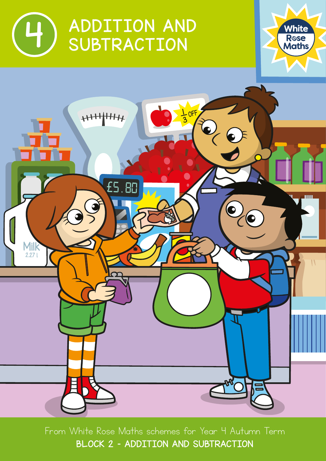





From White Rose Maths schemes for Year 4 Autumn Term BLOCK 2 – ADDITION AND SUBTRACTION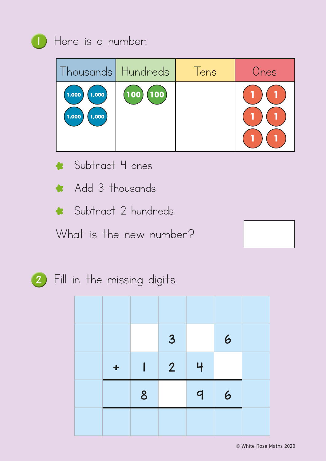

## 1 Here is a number.

| Thousands   Hundreds               |                                    | Tens | Ones |
|------------------------------------|------------------------------------|------|------|
| (1,000)<br>1,000<br>1,000<br>1,000 | $\left(100\right)\left(100\right)$ |      |      |

- \* Subtract 4 ones
- \* Add 3 thousands
- \* Subtract 2 hundreds

What is the new number?





2 Fill in the missing digits.

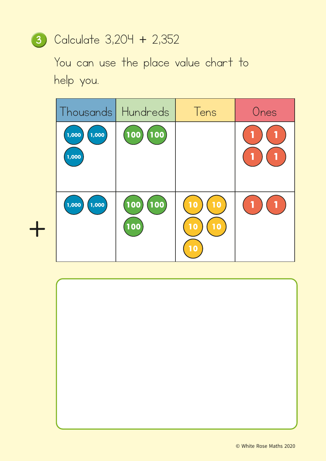## <sup>3</sup> Calculate 3,204 + 2,352

You can use the place value chart to help you.

| Thousands   Hundreds    |                                   | Tens                       | Ones |
|-------------------------|-----------------------------------|----------------------------|------|
| 1,000<br>1,000<br>1,000 | (100<br><b>100</b>                |                            |      |
| 1,000<br>1,000          | (100)<br><b>100</b><br><b>100</b> | 10<br>10<br>10<br>10<br>10 |      |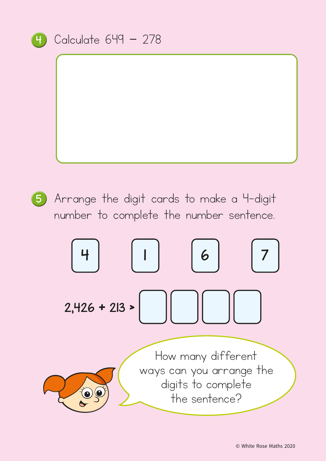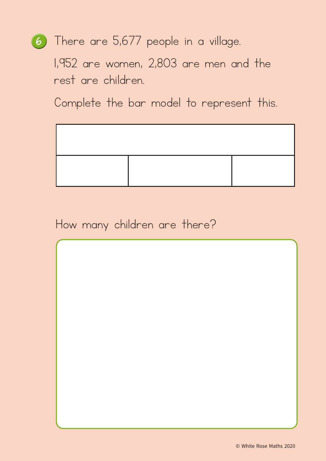## <sup>6</sup> There are 5,677 people in a village.

1,952 are women, 2,803 are men and the rest are children.

Complete the bar model to represent this.



How many children are there?

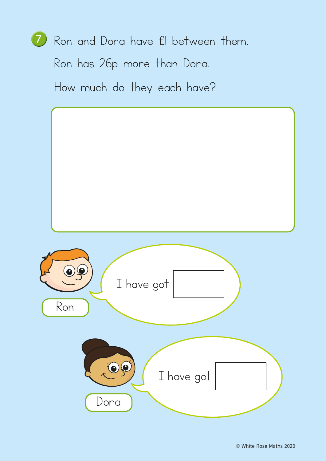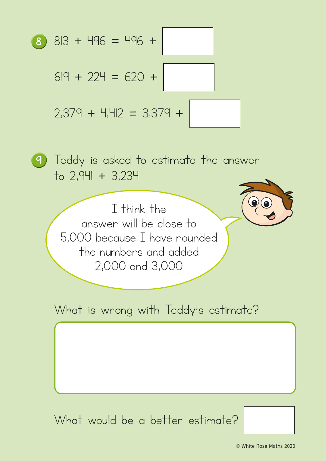

<sup>9</sup> Teddy is asked to estimate the answer to 2,941 + 3,234

> I think the answer will be close to 5,000 because I have rounded the numbers and added 2,000 and 3,000

What is wrong with Teddy's estimate?

What would be a better estimate?